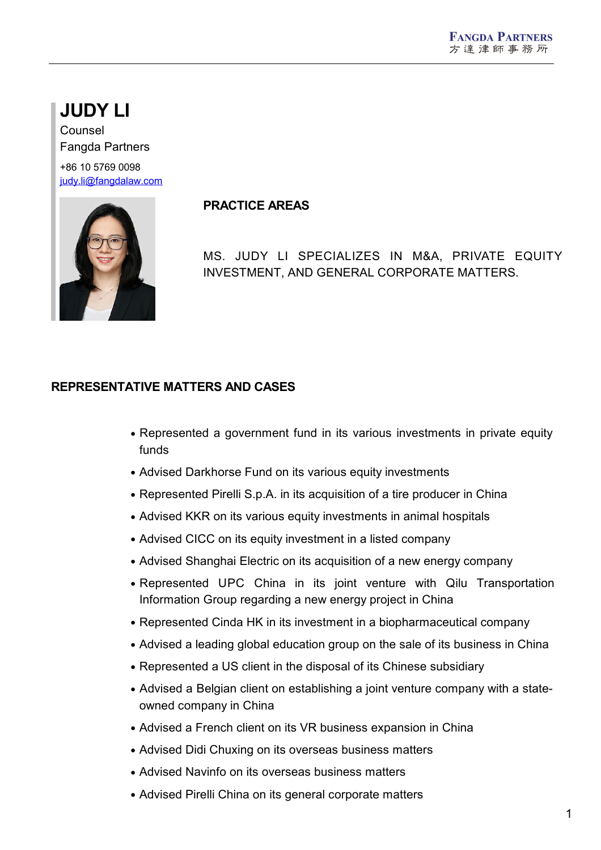# **JUDY LI**

Counsel Fangda Partners +86 10 5769 0098

[judy.li@fangdalaw.com](mailto:judy.li@fangdalaw.com)



## **PRACTICE AREAS**

MS. JUDY LI SPECIALIZES IN M&A, PRIVATE EQUITY INVESTMENT, AND GENERAL CORPORATE MATTERS.

## **REPRESENTATIVE MATTERS AND CASES**

- Represented a government fund in its various investments in private equity funds
- Advised Darkhorse Fund on its various equity investments
- Represented Pirelli S.p.A. in its acquisition of a tire producer in China
- Advised KKR on its various equity investments in animal hospitals
- Advised CICC on its equity investment in a listed company
- Advised Shanghai Electric on its acquisition of a new energy company
- Represented UPC China in its joint venture with Qilu Transportation Information Group regarding a new energy project in China
- Represented Cinda HK in its investment in a biopharmaceutical company
- Advised a leading global education group on the sale of its business in China
- Represented a US client in the disposal of its Chinese subsidiary
- Advised a Belgian client on establishing a joint venture company with a state owned company in China
- Advised a French client on its VR business expansion in China
- Advised Didi Chuxing on its overseas business matters
- Advised Navinfo on its overseas business matters
- Advised Pirelli China on its general corporate matters